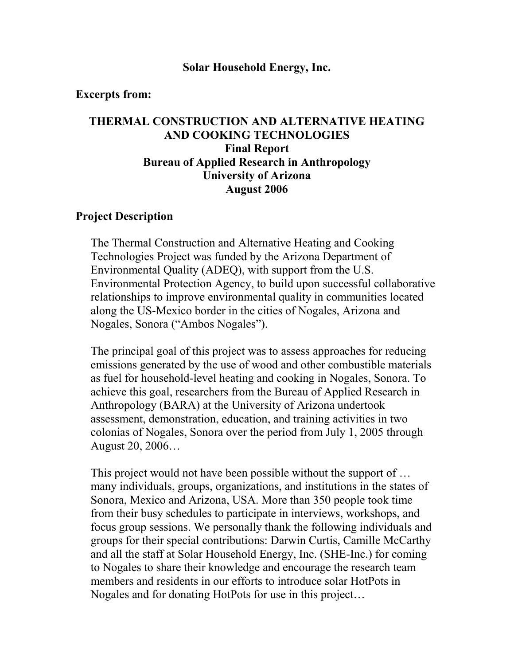#### **Solar Household Energy, Inc.**

#### **Excerpts from:**

# **THERMAL CONSTRUCTION AND ALTERNATIVE HEATING AND COOKING TECHNOLOGIES Final Report Bureau of Applied Research in Anthropology University of Arizona August 2006**

#### **Project Description**

The Thermal Construction and Alternative Heating and Cooking Technologies Project was funded by the Arizona Department of Environmental Quality (ADEQ), with support from the U.S. Environmental Protection Agency, to build upon successful collaborative relationships to improve environmental quality in communities located along the US-Mexico border in the cities of Nogales, Arizona and Nogales, Sonora ("Ambos Nogales").

The principal goal of this project was to assess approaches for reducing emissions generated by the use of wood and other combustible materials as fuel for household-level heating and cooking in Nogales, Sonora. To achieve this goal, researchers from the Bureau of Applied Research in Anthropology (BARA) at the University of Arizona undertook assessment, demonstration, education, and training activities in two colonias of Nogales, Sonora over the period from July 1, 2005 through August 20, 2006…

This project would not have been possible without the support of … many individuals, groups, organizations, and institutions in the states of Sonora, Mexico and Arizona, USA. More than 350 people took time from their busy schedules to participate in interviews, workshops, and focus group sessions. We personally thank the following individuals and groups for their special contributions: Darwin Curtis, Camille McCarthy and all the staff at Solar Household Energy, Inc. (SHE-Inc.) for coming to Nogales to share their knowledge and encourage the research team members and residents in our efforts to introduce solar HotPots in Nogales and for donating HotPots for use in this project…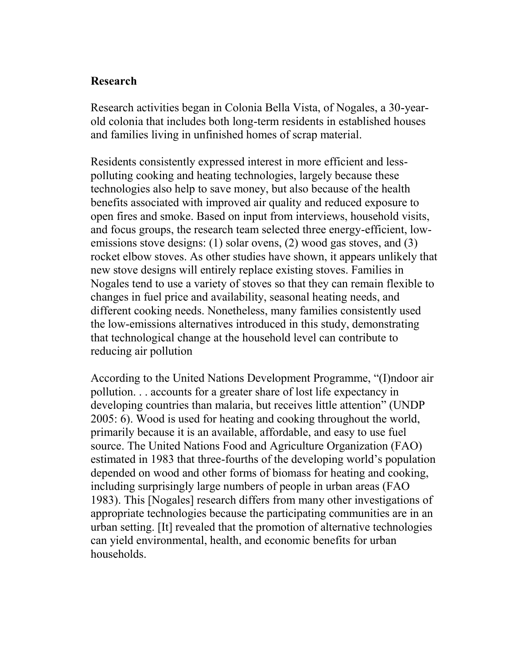### **Research**

Research activities began in Colonia Bella Vista, of Nogales, a 30-yearold colonia that includes both long-term residents in established houses and families living in unfinished homes of scrap material.

Residents consistently expressed interest in more efficient and lesspolluting cooking and heating technologies, largely because these technologies also help to save money, but also because of the health benefits associated with improved air quality and reduced exposure to open fires and smoke. Based on input from interviews, household visits, and focus groups, the research team selected three energy-efficient, lowemissions stove designs: (1) solar ovens, (2) wood gas stoves, and (3) rocket elbow stoves. As other studies have shown, it appears unlikely that new stove designs will entirely replace existing stoves. Families in Nogales tend to use a variety of stoves so that they can remain flexible to changes in fuel price and availability, seasonal heating needs, and different cooking needs. Nonetheless, many families consistently used the low-emissions alternatives introduced in this study, demonstrating that technological change at the household level can contribute to reducing air pollution

Accordi ng to the United Nations Development Programme, "(I)ndoor air pollution. . . accounts for a greater share of lost life expectancy in developing countries than malaria, but receives little attention" (UNDP 2005: 6). Wood is used for heating and cooking throughout the world, primarily because it is an available, affordable, and easy to use fuel source. The United Nations Food and Agriculture Organization (FAO) estimated in 1983 that three -fourths of the developing world's population depended on wood and other forms of biomass for heating and cooking, including surprisingly large numbers of people in urban areas (FAO 1983). This [Nogales] research differs from many other investigations of appropriate technologies because the participating communities are in an urban setting. [It] revealed that the promotion of alternative technologies can yield environmental, health, and economic benefits for urban households.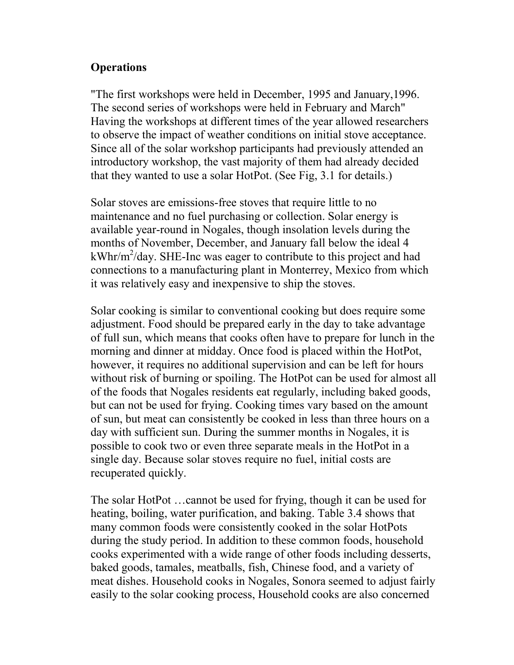# **Operations**

"The first workshops were held in December, 1995 and January,1996. The second series of workshops were held in February and March" Having the workshops at different times of the year allowed researchers to observe the impact of weather conditions on initial stove acceptance. Since all of the solar workshop participants had previously attended an introductory workshop, the vast majority of them had already decided that they wanted to use a solar HotPot. (See Fig, 3.1 for details.)

Solar stoves are emissions-free stoves that require little to no maintenance and no fuel purchasing or collection. Solar energy is available year-round in Nogales, though insolation levels during the months of November, December, and January fall below the ideal 4  $kWhr/m^2$ /day. SHE-Inc was eager to contribute to this project and had connections to a manufacturing plant in Monterrey, Mexico from which it was relatively easy and inexpensive to ship the stoves.

Solar cooking is similar to conventional cooking but does require some adjustment. Food should be prepared early in the day to take advantage of full sun, which means that cooks often have to prepare for lunch in the morning and dinner at midday. Once food is placed within the HotPot, however, it requires no additional supervision and can be left for hours without risk of burning or spoiling. The HotPot can be used for almost all of the foods that Nogales residents eat regularly, including baked goods, but can not be used for frying. Cooking times vary based on the amount of sun, but meat can consistently be cooked in less than three hours on a day with sufficient sun. During the summer months in Nogales, it is possible to cook two or even three separate meals in the HotPot in a single day. Because solar stoves require no fuel, initial costs are recuperated quickly.

The solar HotPot …cannot be used for frying, though it can be used for heating, boiling, water purification, and baking. Table 3.4 shows that many common foods were consistently cooked in the solar HotPots during the study period. In addition to these common foods, household cooks experimented with a wide range of other foods including desserts, baked goods, tamales, meatballs, fish, Chinese food, and a variety of meat dishes. Household cooks in Nogales, Sonora seemed to adjust fairly easily to the solar cooking process, Household cooks are also concerned